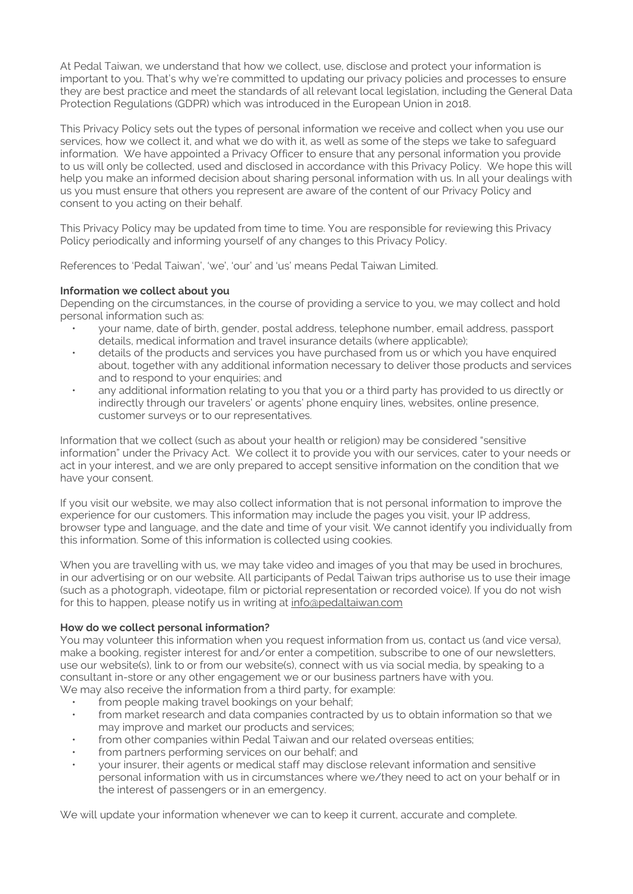At Pedal Taiwan, we understand that how we collect, use, disclose and protect your information is important to you. That's why we're committed to updating our privacy policies and processes to ensure they are best practice and meet the standards of all relevant local legislation, including the General Data Protection Regulations (GDPR) which was introduced in the European Union in 2018.

This Privacy Policy sets out the types of personal information we receive and collect when you use our services, how we collect it, and what we do with it, as well as some of the steps we take to safeguard information. We have appointed a Privacy Officer to ensure that any personal information you provide to us will only be collected, used and disclosed in accordance with this Privacy Policy. We hope this will help you make an informed decision about sharing personal information with us. In all your dealings with us you must ensure that others you represent are aware of the content of our Privacy Policy and consent to you acting on their behalf.

This Privacy Policy may be updated from time to time. You are responsible for reviewing this Privacy Policy periodically and informing yourself of any changes to this Privacy Policy.

References to 'Pedal Taiwan', 'we', 'our' and 'us' means Pedal Taiwan Limited.

## **Information we collect about you**

Depending on the circumstances, in the course of providing a service to you, we may collect and hold personal information such as:

- your name, date of birth, gender, postal address, telephone number, email address, passport details, medical information and travel insurance details (where applicable);
- details of the products and services you have purchased from us or which you have enquired about, together with any additional information necessary to deliver those products and services and to respond to your enquiries; and
- any additional information relating to you that you or a third party has provided to us directly or indirectly through our travelers' or agents' phone enquiry lines, websites, online presence, customer surveys or to our representatives.

Information that we collect (such as about your health or religion) may be considered "sensitive information" under the Privacy Act. We collect it to provide you with our services, cater to your needs or act in your interest, and we are only prepared to accept sensitive information on the condition that we have your consent.

If you visit our website, we may also collect information that is not personal information to improve the experience for our customers. This information may include the pages you visit, your IP address, browser type and language, and the date and time of your visit. We cannot identify you individually from this information. Some of this information is collected using cookies.

When you are travelling with us, we may take video and images of you that may be used in brochures, in our advertising or on our website. All participants of Pedal Taiwan trips authorise us to use their image (such as a photograph, videotape, film or pictorial representation or recorded voice). If you do not wish for this to happen, please notify us in writing at [info@pedaltaiwan.com](mailto:info@pedaltaiwan.com)

## **How do we collect personal information?**

You may volunteer this information when you request information from us, contact us (and vice versa), make a booking, register interest for and/or enter a competition, subscribe to one of our newsletters, use our website(s), link to or from our website(s), connect with us via social media, by speaking to a consultant in-store or any other engagement we or our business partners have with you. We may also receive the information from a third party, for example:

- from people making travel bookings on your behalf;
- from market research and data companies contracted by us to obtain information so that we may improve and market our products and services;
- from other companies within Pedal Taiwan and our related overseas entities;
- from partners performing services on our behalf; and
- your insurer, their agents or medical staff may disclose relevant information and sensitive personal information with us in circumstances where we/they need to act on your behalf or in the interest of passengers or in an emergency.

We will update your information whenever we can to keep it current, accurate and complete.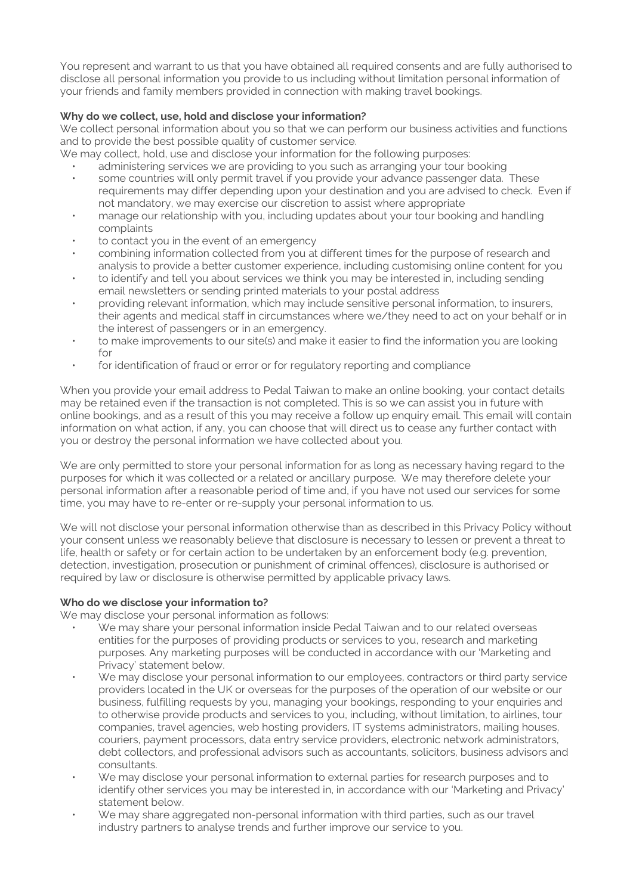You represent and warrant to us that you have obtained all required consents and are fully authorised to disclose all personal information you provide to us including without limitation personal information of your friends and family members provided in connection with making travel bookings.

# **Why do we collect, use, hold and disclose your information?**

We collect personal information about you so that we can perform our business activities and functions and to provide the best possible quality of customer service.

We may collect, hold, use and disclose your information for the following purposes:

- administering services we are providing to you such as arranging your tour booking
- some countries will only permit travel if you provide your advance passenger data. These requirements may differ depending upon your destination and you are advised to check. Even if not mandatory, we may exercise our discretion to assist where appropriate
- manage our relationship with you, including updates about your tour booking and handling complaints
- to contact you in the event of an emergency
- combining information collected from you at different times for the purpose of research and analysis to provide a better customer experience, including customising online content for you
- to identify and tell you about services we think you may be interested in, including sending email newsletters or sending printed materials to your postal address
- providing relevant information, which may include sensitive personal information, to insurers, their agents and medical staff in circumstances where we/they need to act on your behalf or in the interest of passengers or in an emergency.
- to make improvements to our site(s) and make it easier to find the information you are looking for
- for identification of fraud or error or for regulatory reporting and compliance

When you provide your email address to Pedal Taiwan to make an online booking, your contact details may be retained even if the transaction is not completed. This is so we can assist you in future with online bookings, and as a result of this you may receive a follow up enquiry email. This email will contain information on what action, if any, you can choose that will direct us to cease any further contact with you or destroy the personal information we have collected about you.

We are only permitted to store your personal information for as long as necessary having regard to the purposes for which it was collected or a related or ancillary purpose. We may therefore delete your personal information after a reasonable period of time and, if you have not used our services for some time, you may have to re-enter or re-supply your personal information to us.

We will not disclose your personal information otherwise than as described in this Privacy Policy without your consent unless we reasonably believe that disclosure is necessary to lessen or prevent a threat to life, health or safety or for certain action to be undertaken by an enforcement body (e.g. prevention, detection, investigation, prosecution or punishment of criminal offences), disclosure is authorised or required by law or disclosure is otherwise permitted by applicable privacy laws.

## **Who do we disclose your information to?**

We may disclose your personal information as follows:

- We may share your personal information inside Pedal Taiwan and to our related overseas entities for the purposes of providing products or services to you, research and marketing purposes. Any marketing purposes will be conducted in accordance with our 'Marketing and Privacy' statement below.
- We may disclose your personal information to our employees, contractors or third party service providers located in the UK or overseas for the purposes of the operation of our website or our business, fulfilling requests by you, managing your bookings, responding to your enquiries and to otherwise provide products and services to you, including, without limitation, to airlines, tour companies, travel agencies, web hosting providers, IT systems administrators, mailing houses, couriers, payment processors, data entry service providers, electronic network administrators, debt collectors, and professional advisors such as accountants, solicitors, business advisors and consultants.
- We may disclose your personal information to external parties for research purposes and to identify other services you may be interested in, in accordance with our 'Marketing and Privacy' statement below.
- We may share aggregated non-personal information with third parties, such as our travel industry partners to analyse trends and further improve our service to you.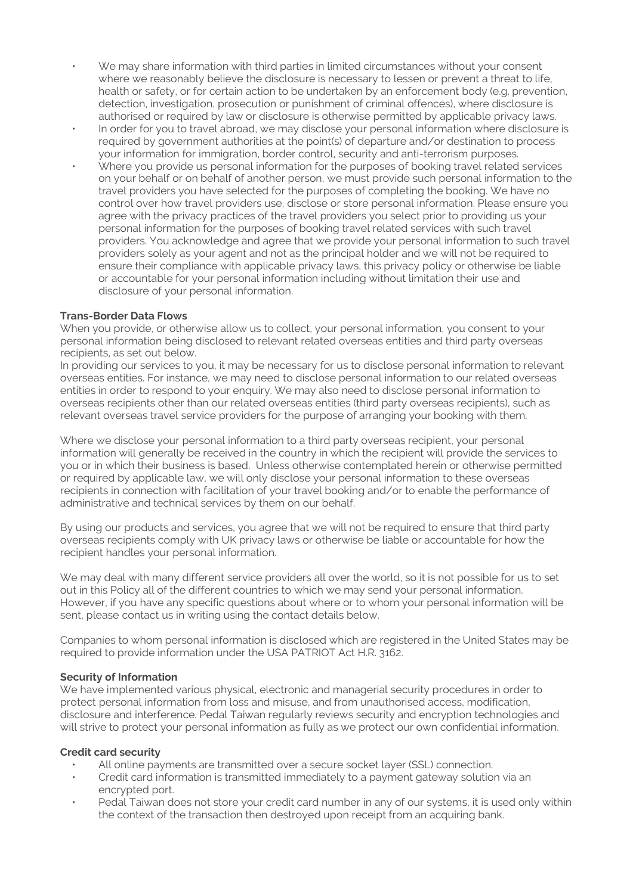- We may share information with third parties in limited circumstances without your consent where we reasonably believe the disclosure is necessary to lessen or prevent a threat to life, health or safety, or for certain action to be undertaken by an enforcement body (e.g. prevention, detection, investigation, prosecution or punishment of criminal offences), where disclosure is authorised or required by law or disclosure is otherwise permitted by applicable privacy laws.
- In order for you to travel abroad, we may disclose your personal information where disclosure is required by government authorities at the point(s) of departure and/or destination to process your information for immigration, border control, security and anti-terrorism purposes.
- Where you provide us personal information for the purposes of booking travel related services on your behalf or on behalf of another person, we must provide such personal information to the travel providers you have selected for the purposes of completing the booking. We have no control over how travel providers use, disclose or store personal information. Please ensure you agree with the privacy practices of the travel providers you select prior to providing us your personal information for the purposes of booking travel related services with such travel providers. You acknowledge and agree that we provide your personal information to such travel providers solely as your agent and not as the principal holder and we will not be required to ensure their compliance with applicable privacy laws, this privacy policy or otherwise be liable or accountable for your personal information including without limitation their use and disclosure of your personal information.

## **Trans-Border Data Flows**

When you provide, or otherwise allow us to collect, your personal information, you consent to your personal information being disclosed to relevant related overseas entities and third party overseas recipients, as set out below.

In providing our services to you, it may be necessary for us to disclose personal information to relevant overseas entities. For instance, we may need to disclose personal information to our related overseas entities in order to respond to your enquiry. We may also need to disclose personal information to overseas recipients other than our related overseas entities (third party overseas recipients), such as relevant overseas travel service providers for the purpose of arranging your booking with them.

Where we disclose your personal information to a third party overseas recipient, your personal information will generally be received in the country in which the recipient will provide the services to you or in which their business is based. Unless otherwise contemplated herein or otherwise permitted or required by applicable law, we will only disclose your personal information to these overseas recipients in connection with facilitation of your travel booking and/or to enable the performance of administrative and technical services by them on our behalf.

By using our products and services, you agree that we will not be required to ensure that third party overseas recipients comply with UK privacy laws or otherwise be liable or accountable for how the recipient handles your personal information.

We may deal with many different service providers all over the world, so it is not possible for us to set out in this Policy all of the different countries to which we may send your personal information. However, if you have any specific questions about where or to whom your personal information will be sent, please contact us in writing using the contact details below.

Companies to whom personal information is disclosed which are registered in the United States may be required to provide information under the USA PATRIOT Act H.R. 3162.

# **Security of Information**

We have implemented various physical, electronic and managerial security procedures in order to protect personal information from loss and misuse, and from unauthorised access, modification, disclosure and interference. Pedal Taiwan regularly reviews security and encryption technologies and will strive to protect your personal information as fully as we protect our own confidential information.

## **Credit card security**

- All online payments are transmitted over a secure socket layer (SSL) connection.
- Credit card information is transmitted immediately to a payment gateway solution via an encrypted port.
- Pedal Taiwan does not store your credit card number in any of our systems, it is used only within the context of the transaction then destroyed upon receipt from an acquiring bank.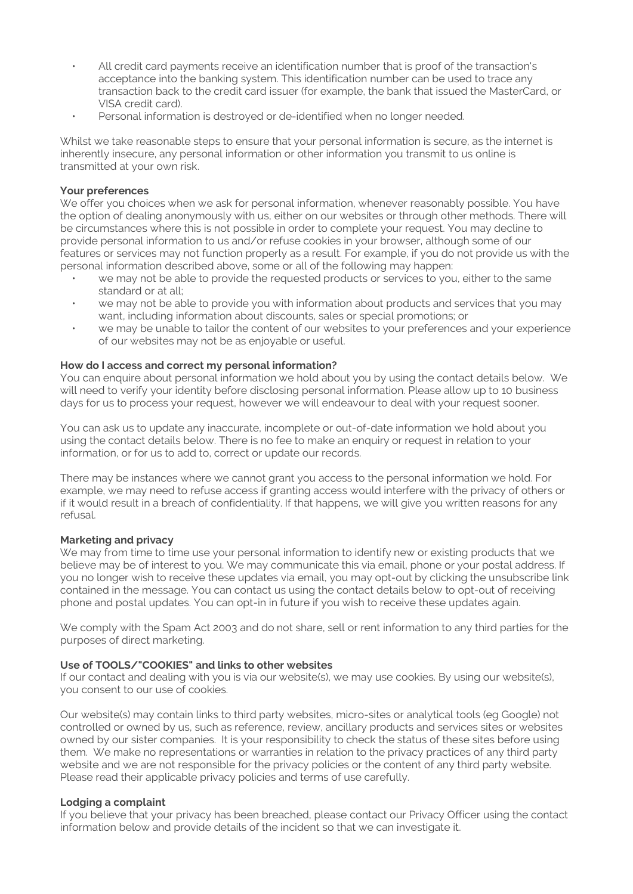- All credit card payments receive an identification number that is proof of the transaction's acceptance into the banking system. This identification number can be used to trace any transaction back to the credit card issuer (for example, the bank that issued the MasterCard, or VISA credit card).
- Personal information is destroyed or de-identified when no longer needed.

Whilst we take reasonable steps to ensure that your personal information is secure, as the internet is inherently insecure, any personal information or other information you transmit to us online is transmitted at your own risk.

### **Your preferences**

We offer you choices when we ask for personal information, whenever reasonably possible. You have the option of dealing anonymously with us, either on our websites or through other methods. There will be circumstances where this is not possible in order to complete your request. You may decline to provide personal information to us and/or refuse cookies in your browser, although some of our features or services may not function properly as a result. For example, if you do not provide us with the personal information described above, some or all of the following may happen:

- we may not be able to provide the requested products or services to you, either to the same standard or at all;
- we may not be able to provide you with information about products and services that you may want, including information about discounts, sales or special promotions; or
- we may be unable to tailor the content of our websites to your preferences and your experience of our websites may not be as enjoyable or useful.

### **How do I access and correct my personal information?**

You can enquire about personal information we hold about you by using the contact details below. We will need to verify your identity before disclosing personal information. Please allow up to 10 business days for us to process your request, however we will endeavour to deal with your request sooner.

You can ask us to update any inaccurate, incomplete or out-of-date information we hold about you using the contact details below. There is no fee to make an enquiry or request in relation to your information, or for us to add to, correct or update our records.

There may be instances where we cannot grant you access to the personal information we hold. For example, we may need to refuse access if granting access would interfere with the privacy of others or if it would result in a breach of confidentiality. If that happens, we will give you written reasons for any refusal.

### **Marketing and privacy**

We may from time to time use your personal information to identify new or existing products that we believe may be of interest to you. We may communicate this via email, phone or your postal address. If you no longer wish to receive these updates via email, you may opt-out by clicking the unsubscribe link contained in the message. You can contact us using the contact details below to opt-out of receiving phone and postal updates. You can opt-in in future if you wish to receive these updates again.

We comply with the Spam Act 2003 and do not share, sell or rent information to any third parties for the purposes of direct marketing.

## **Use of TOOLS/"COOKIES" and links to other websites**

If our contact and dealing with you is via our website(s), we may use cookies. By using our website(s), you consent to our use of cookies.

Our website(s) may contain links to third party websites, micro-sites or analytical tools (eg Google) not controlled or owned by us, such as reference, review, ancillary products and services sites or websites owned by our sister companies. It is your responsibility to check the status of these sites before using them. We make no representations or warranties in relation to the privacy practices of any third party website and we are not responsible for the privacy policies or the content of any third party website. Please read their applicable privacy policies and terms of use carefully.

#### **Lodging a complaint**

If you believe that your privacy has been breached, please contact our Privacy Officer using the contact information below and provide details of the incident so that we can investigate it.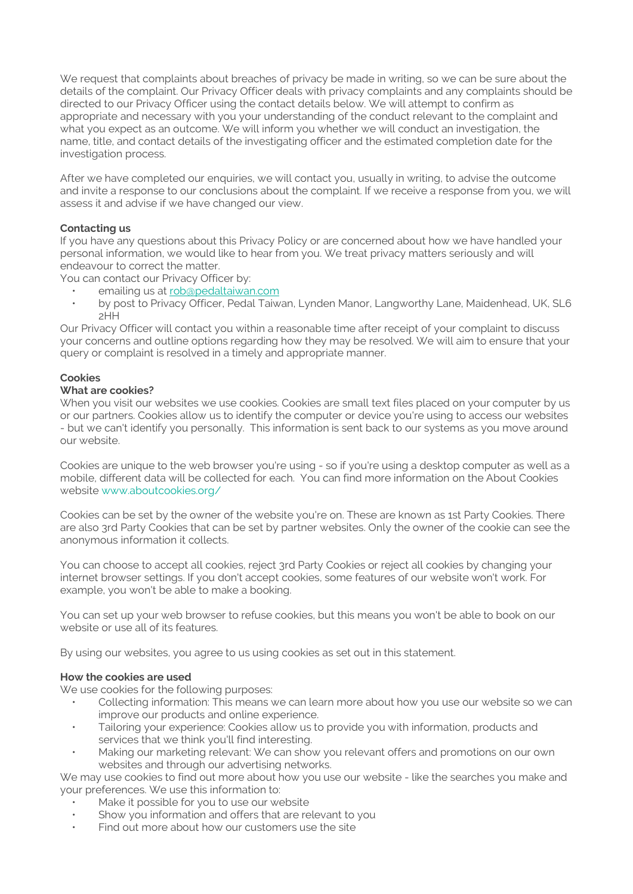We request that complaints about breaches of privacy be made in writing, so we can be sure about the details of the complaint. Our Privacy Officer deals with privacy complaints and any complaints should be directed to our Privacy Officer using the contact details below. We will attempt to confirm as appropriate and necessary with you your understanding of the conduct relevant to the complaint and what you expect as an outcome. We will inform you whether we will conduct an investigation, the name, title, and contact details of the investigating officer and the estimated completion date for the investigation process.

After we have completed our enquiries, we will contact you, usually in writing, to advise the outcome and invite a response to our conclusions about the complaint. If we receive a response from you, we will assess it and advise if we have changed our view.

## **Contacting us**

If you have any questions about this Privacy Policy or are concerned about how we have handled your personal information, we would like to hear from you. We treat privacy matters seriously and will endeavour to correct the matter.

You can contact our Privacy Officer by:

- emailing us at [rob@pedaltaiwan.com](mailto:rob@pedaltaiwan.com)
- by post to Privacy Officer, Pedal Taiwan, Lynden Manor, Langworthy Lane, Maidenhead, UK, SL6 2HH

Our Privacy Officer will contact you within a reasonable time after receipt of your complaint to discuss your concerns and outline options regarding how they may be resolved. We will aim to ensure that your query or complaint is resolved in a timely and appropriate manner.

## **Cookies**

# **What are cookies?**

When you visit our websites we use cookies. Cookies are small text files placed on your computer by us or our partners. Cookies allow us to identify the computer or device you're using to access our websites - but we can't identify you personally. This information is sent back to our systems as you move around our website.

Cookies are unique to the web browser you're using - so if you're using a desktop computer as well as a mobile, different data will be collected for each. You can find more information on the About Cookies website [www.aboutcookies.org/](http://www.aboutcookies.org/)

Cookies can be set by the owner of the website you're on. These are known as 1st Party Cookies. There are also 3rd Party Cookies that can be set by partner websites. Only the owner of the cookie can see the anonymous information it collects.

You can choose to accept all cookies, reject 3rd Party Cookies or reject all cookies by changing your internet browser settings. If you don't accept cookies, some features of our website won't work. For example, you won't be able to make a booking.

You can set up your web browser to refuse cookies, but this means you won't be able to book on our website or use all of its features.

By using our websites, you agree to us using cookies as set out in this statement.

## **How the cookies are used**

We use cookies for the following purposes:

- Collecting information: This means we can learn more about how you use our website so we can improve our products and online experience.
- Tailoring your experience: Cookies allow us to provide you with information, products and services that we think you'll find interesting.
- Making our marketing relevant: We can show you relevant offers and promotions on our own websites and through our advertising networks.

We may use cookies to find out more about how you use our website - like the searches you make and your preferences. We use this information to:

- Make it possible for you to use our website
- Show you information and offers that are relevant to you
- Find out more about how our customers use the site